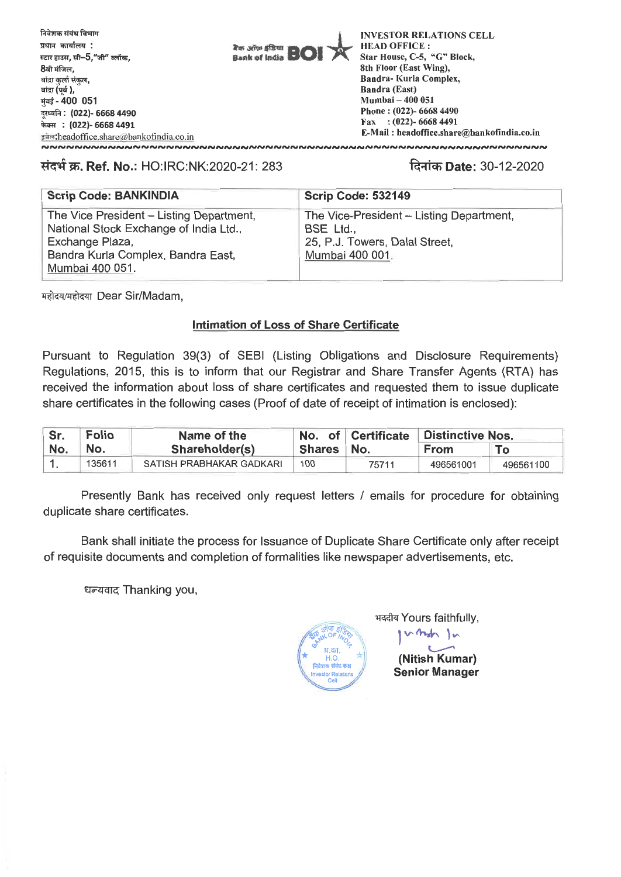

## **/4-414W. Ref. No.:** HO:IRC:NK:2020-21: 283 **Rlich Date:** 30-12-2020

| <b>Scrip Code: BANKINDIA</b>             | Scrip Code: 532149                       |
|------------------------------------------|------------------------------------------|
| The Vice President - Listing Department, | The Vice-President - Listing Department, |
| National Stock Exchange of India Ltd.,   | BSE Ltd.,                                |
| Exchange Plaza,                          | 25, P.J. Towers, Dalal Street,           |
| Bandra Kurla Complex, Bandra East,       | Mumbai 400 001.                          |
| Mumbai 400 051.                          |                                          |

महोदय/महोदया Dear Sir/Madam,

#### **Intimation of Loss of Share Certificate**

Pursuant to Regulation 39(3) of SEBI (Listing Obligations and Disclosure Requirements) Regulations, 2015, this is to inform that our Registrar and Share Transfer Agents (RTA) has received the information about loss of share certificates and requested them to issue duplicate share certificates in the following cases (Proof of date of receipt of intimation is enclosed):

| Sr. | <b>Folio</b> | Name of the              |              | No. of Certificate | <b>Distinctive Nos.</b> |           |
|-----|--------------|--------------------------|--------------|--------------------|-------------------------|-----------|
| No. | No.          | Shareholder(s)           | Shares   No. |                    | <b>From</b>             | <b>To</b> |
|     | 135611       | SATISH PRABHAKAR GADKARI | 100          | 75711              | 496561001               | 496561100 |

Presently Bank has received only request letters / emails for procedure for obtaining duplicate share certificates.

Bank shall initiate the process for Issuance of Duplicate Share Certificate only after receipt of requisite documents and completion of formalities like newspaper advertisements, etc.

धन्यवाद Thanking you,



भवदीय Yours faithfully,

rmh In **(Nitish Kumar) Senior Manager**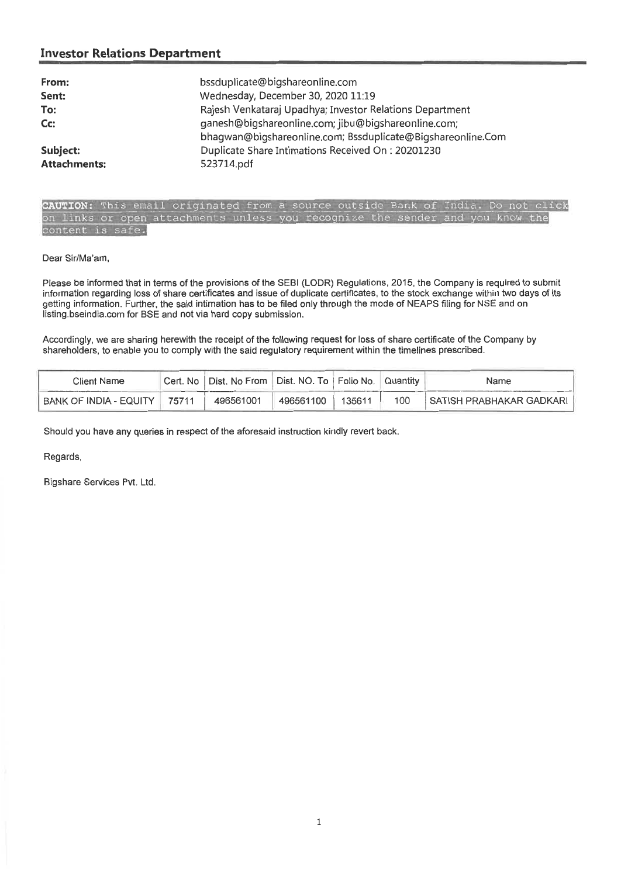#### **Investor Relations Department**

| From:<br>Sent:<br>To:<br>Cc: | bssduplicate@bigshareonline.com<br>Wednesday, December 30, 2020 11:19<br>Rajesh Venkataraj Upadhya; Investor Relations Department<br>ganesh@bigshareonline.com; jibu@bigshareonline.com;<br>bhagwan@bigshareonline.com; Bssduplicate@Bigshareonline.Com |
|------------------------------|---------------------------------------------------------------------------------------------------------------------------------------------------------------------------------------------------------------------------------------------------------|
| Subject:                     | Duplicate Share Intimations Received On: 20201230                                                                                                                                                                                                       |
| <b>Attachments:</b>          | 523714.pdf                                                                                                                                                                                                                                              |

CAUTION: This email originated from a source outside Bank of India. Do not click on links or open attachments unless you recognize the sender and you know the content is safe.

Dear Sir/Ma'am,

Please be informed that in terms of the provisions of the SEBI (LODR) Regulations, 2015, the Company is required to submit information regarding loss of share certificates and issue of duplicate certificates, to the stock exchange within two days of its getting information. Further, the said intimation has to be filed only through the mode of NEAPS filing for NSE and on listing.bseindia.com for BSE and not via hard copy submission.

Accordingly, we are sharing herewith the receipt of the following request for loss of share certificate of the Company by shareholders, to enable you to comply with the said regulatory requirement within the timelines prescribed.

| Client Name            |       | Cert. No   Dist. No From   Dist. NO. To   Folio No. |           |        | Quantity | Name                     |
|------------------------|-------|-----------------------------------------------------|-----------|--------|----------|--------------------------|
| BANK OF INDIA - EQUITY | 75711 | 496561001                                           | 496561100 | 135611 | 100      | SATISH PRABHAKAR GADKARI |

Should you have any queries in respect of the aforesaid instruction kindly revert back.

Regards,

Bigshare Services Pvt. Ltd.